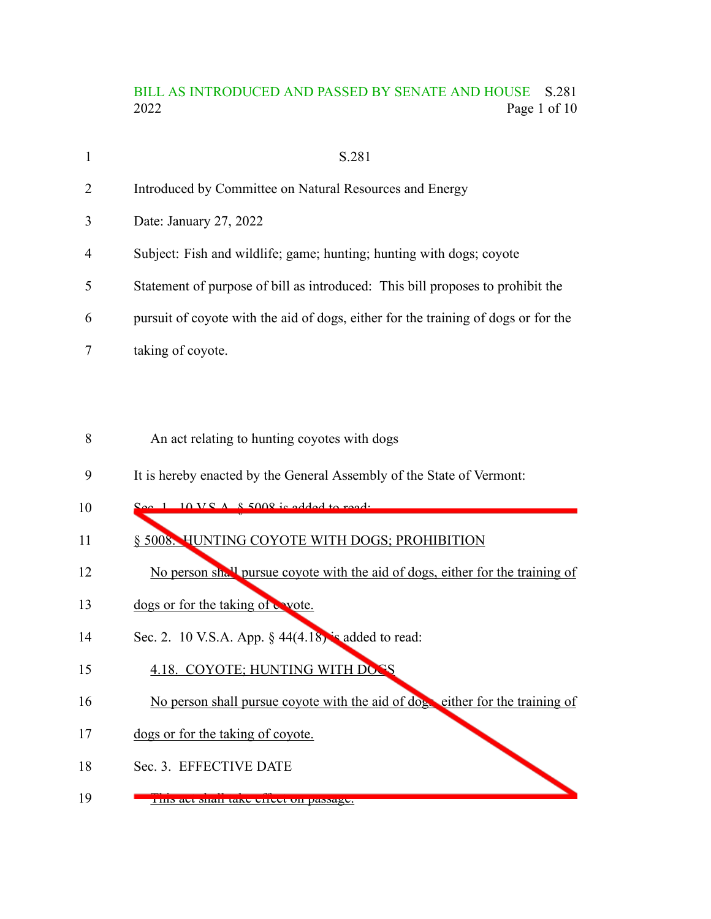# BILL AS INTRODUCED AND PASSED BY SENATE AND HOUSE S.281 2022 Page 1 of 10

| $\mathbf{1}$   | S.281                                                                              |
|----------------|------------------------------------------------------------------------------------|
| $\overline{2}$ | Introduced by Committee on Natural Resources and Energy                            |
| 3              | Date: January 27, 2022                                                             |
| $\overline{4}$ | Subject: Fish and wildlife; game; hunting; hunting with dogs; coyote               |
| 5              | Statement of purpose of bill as introduced: This bill proposes to prohibit the     |
| 6              | pursuit of coyote with the aid of dogs, either for the training of dogs or for the |
|                | taking of coyote.                                                                  |

- An act relating to hunting coyotes with dogs 8
- It is hereby enacted by the General Assembly of the State of Vermont: 9
- Sec. 1.  $10 \text{VS}$  A,  $\frac{8}{9}$  5008 is added to read: 10
- § 5008. HUNTING COYOTE WITH DOGS; PROHIBITION 11
- No person shall pursue coyote with the aid of dogs, either for the training of 12
- dogs or for the taking of wote. 13
- Sec. 2. 10 V.S.A. App.  $\S$  44(4.18) is added to read: 14
- 4.18. COYOTE; HUNTING WITH DOGS 15
- No person shall pursue coyote with the aid of dogs either for the training of 16
- dogs or for the taking of coyote. 17
- Sec. 3. EFFECTIVE DATE 18
- This act shall take effect on passage. 19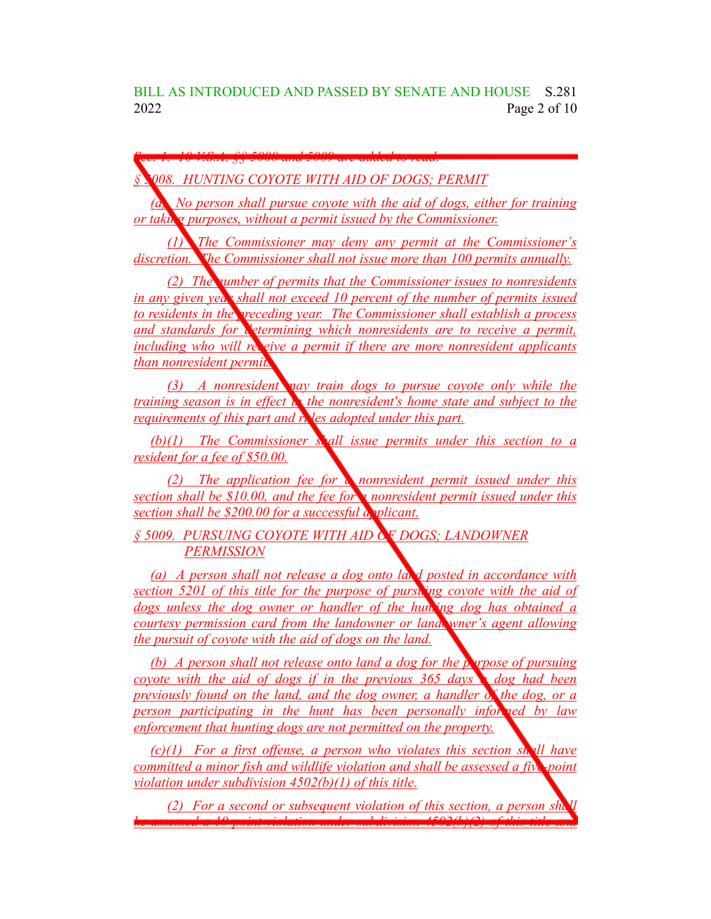BILL AS INTRODUCED AND PASSED BY SENATE AND HOUSE S.281 2022 Page 2 of 10

*Sec. 1. 10 V.S.A. §§ 5008 and 5009 are added to read:*

*§ 5008. HUNTING COYOTE WITH AID OF DOGS; PERMIT*

*(a) No person shall pursue coyote with the aid of dogs, either for training or taking purposes, without a permit issued by the Commissioner.*

*(1) The Commissioner may deny any permit at the Commissioner's discretion. The Commissioner shall not issue more than 100 permits annually.*

*(2) The number of permits that the Commissioner issues to nonresidents in any given year shall not exceed 10 percent of the number of permits issued to residents in the preceding year. The Commissioner shall establish a process and standards for determining which nonresidents are to receive a permit, including who will receive a permit if there are more nonresident applicants than nonresident permits.*

*(3) A nonresident may train dogs to pursue coyote only while the training season is in effect in the nonresident's home state and subject to the requirements of this part and rules adopted under this part.*

*(b)(1) The Commissioner shall issue permits under this section to a resident for a fee of \$50.00.*

*(2) The application fee for a nonresident permit issued under this section shall be \$10.00, and the fee for a nonresident permit issued under this section shall be \$200.00 for a successful applicant.*

*§ 5009. PURSUING COYOTE WITH AID OF DOGS; LANDOWNER PERMISSION*

*(a) A person shall not release a dog onto land posted in accordance with section 5201 of this title for the purpose of pursuing coyote with the aid of dogs unless the dog owner or handler of the hunting dog has obtained a courtesy permission card from the landowner or landowner's agent allowing the pursuit of coyote with the aid of dogs on the land.*

*(b) A person shall not release onto land a dog for the purpose of pursuing coyote with the aid of dogs if in the previous 365 days a dog had been previously found on the land, and the dog owner, a handler of the dog, or a person participating in the hunt has been personally informed by law enforcement that hunting dogs are not permitted on the property.*

*(c)(1) For a first offense, a person who violates this section shall have committed a minor fish and wildlife violation and shall be assessed a five-point violation under subdivision 4502(b)(1) of this title.*

*(2) For a second or subsequent violation of this section, a person shall be assessed a 10-point violation under subdivision 4502(b)(2) of this title and*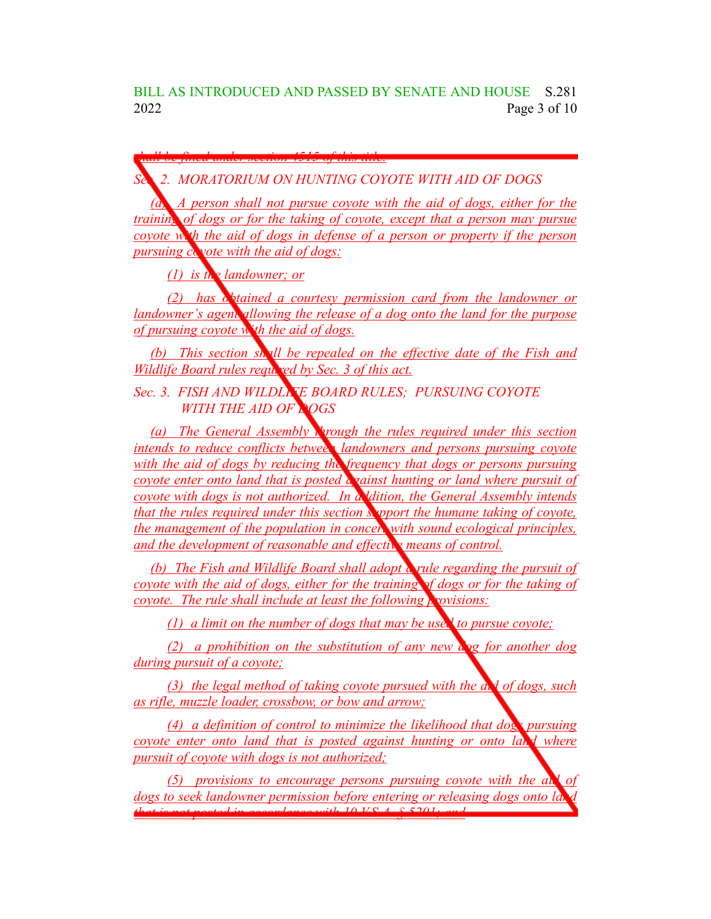BILL AS INTRODUCED AND PASSED BY SENATE AND HOUSE S.281 2022 Page 3 of 10

*shall be fined under section 4515 of this title.*

*Sec. 2. MORATORIUM ON HUNTING COYOTE WITH AID OF DOGS*

*(a) A person shall not pursue coyote with the aid of dogs, either for the training of dogs or for the taking of coyote, except that a person may pursue coyote with the aid of dogs in defense of a person or property if the person pursuing coyote with the aid of dogs:*

*(1) is the landowner; or*

*(2) has obtained a courtesy permission card from the landowner or landowner's agent allowing the release of a dog onto the land for the purpose of pursuing coyote with the aid of dogs.*

*(b) This section shall be repealed on the effective date of the Fish and Wildlife Board rules required by Sec. 3 of this act.* 

*Sec. 3. FISH AND WILDLIFE BOARD RULES; PURSUING COYOTE WITH THE AID OF DOGS*

*(a) The General Assembly through the rules required under this section intends to reduce conflicts between landowners and persons pursuing coyote with the aid of dogs by reducing the frequency that dogs or persons pursuing coyote enter onto land that is posted against hunting or land where pursuit of coyote with dogs is not authorized. In addition, the General Assembly intends that the rules required under this section support the humane taking of coyote, the management of the population in concert with sound ecological principles, and the development of reasonable and effective means of control.*

*(b) The Fish and Wildlife Board shall adopt a rule regarding the pursuit of coyote with the aid of dogs, either for the training of dogs or for the taking of coyote. The rule shall include at least the following provisions:*

*(1) a limit on the number of dogs that may be used to pursue coyote;*

*(2) a prohibition on the substitution of any new dog for another dog during pursuit of a coyote;*

*(3) the legal method of taking coyote pursued with the aid of dogs, such as rifle, muzzle loader, crossbow, or bow and arrow;*

*(4) a definition of control to minimize the likelihood that dogs pursuing coyote enter onto land that is posted against hunting or onto land where pursuit of coyote with dogs is not authorized;*

*(5) provisions to encourage persons pursuing coyote with the aid of dogs* to seek *landowner permission before entering or releasing dogs onto la that is not posted in accordance with 10 V.S.A. § 5201; and*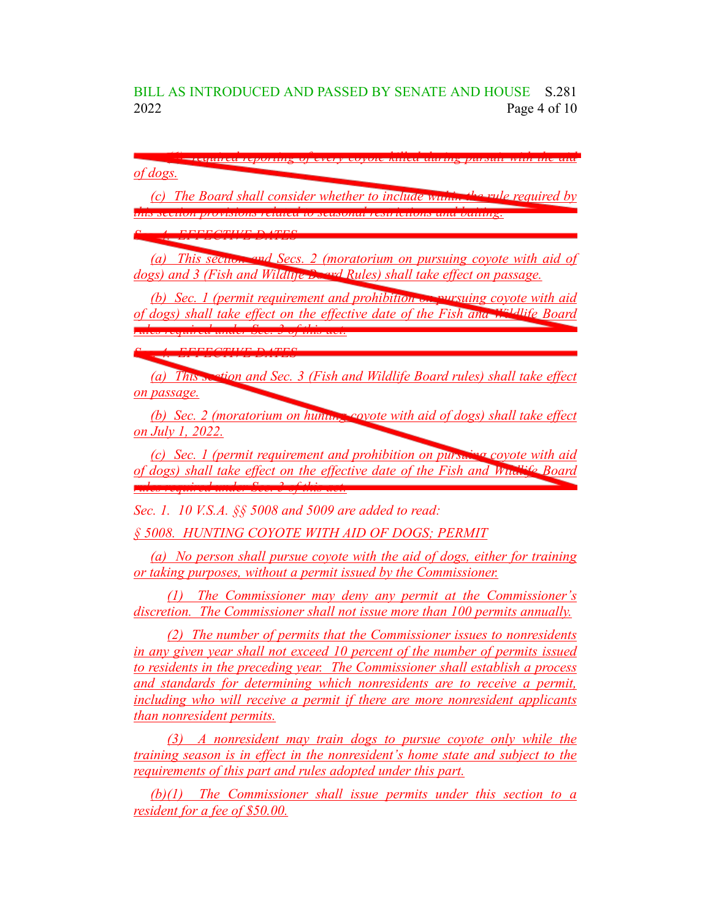BILL AS INTRODUCED AND PASSED BY SENATE AND HOUSE S.281 2022 Page 4 of 10

*(6) required reporting of every coyote killed during pursuit with the aid of dogs.*

*(c) The Board shall consider whether to include within the rule required by this section provisions related to seasonal restrictions and baiting.*

*Sec. 4. EFFECTIVE DATES*

*(a) This section and Secs. 2 (moratorium on pursuing coyote with aid of dogs) and 3 (Fish and Wildlife Board Rules) shall take effect on passage.*

*(b) Sec. 1 (permit requirement and prohibition on pursuing coyote with aid of dogs) shall take effect on the effective date of the Fish and Wildlife Board rules required under Sec. 3 of this act.*

*Sec. 4. EFFECTIVE DATES*

*(a) This section and Sec. 3 (Fish and Wildlife Board rules) shall take effect on passage.*

*(b) Sec. 2 (moratorium on hunting coyote with aid of dogs) shall take effect on July 1, 2022.*

*(c) Sec. 1 (permit requirement and prohibition on pursuing coyote with aid of dogs) shall take effect on the effective date of the Fish and Wildlife Board rules required under Sec. 3 of this act.*

*Sec. 1. 10 V.S.A. §§ 5008 and 5009 are added to read:*

*§ 5008. HUNTING COYOTE WITH AID OF DOGS; PERMIT*

*(a) No person shall pursue coyote with the aid of dogs, either for training or taking purposes, without a permit issued by the Commissioner.*

*(1) The Commissioner may deny any permit at the Commissioner's discretion. The Commissioner shall not issue more than 100 permits annually.*

*(2) The number of permits that the Commissioner issues to nonresidents in any given year shall not exceed 10 percent of the number of permits issued to residents in the preceding year. The Commissioner shall establish a process and standards for determining which nonresidents are to receive a permit, including who will receive a permit if there are more nonresident applicants than nonresident permits.*

*(3) A nonresident may train dogs to pursue coyote only while the training season is in effect in the nonresident's home state and subject to the requirements of this part and rules adopted under this part.*

*(b)(1) The Commissioner shall issue permits under this section to a resident for a fee of \$50.00.*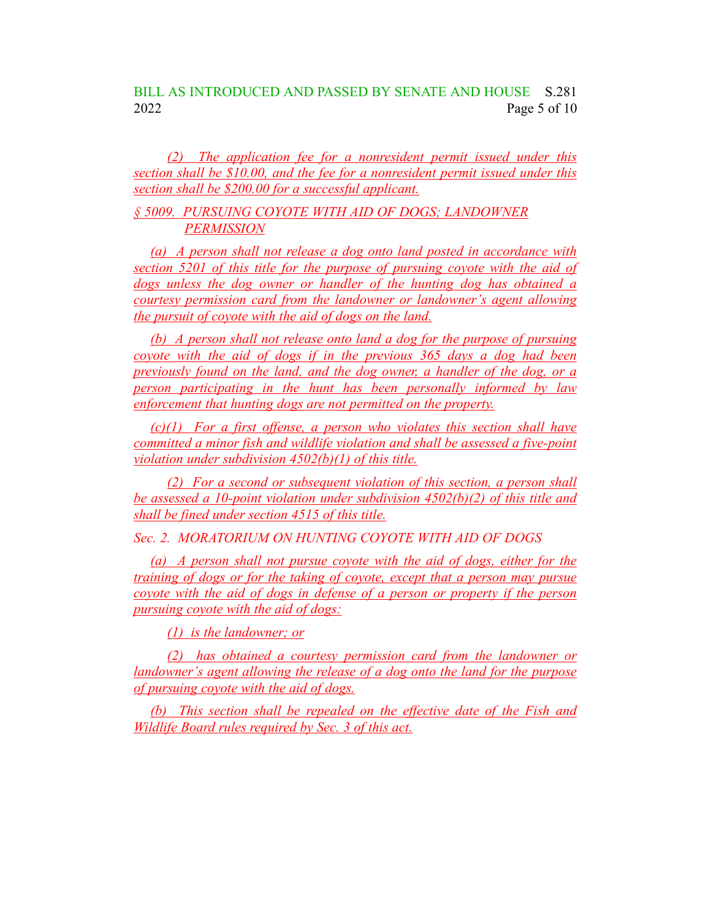## BILL AS INTRODUCED AND PASSED BY SENATE AND HOUSE S.281 2022 Page 5 of 10

*(2) The application fee for a nonresident permit issued under this section shall be \$10.00, and the fee for a nonresident permit issued under this section shall be \$200.00 for a successful applicant.*

#### *§ 5009. PURSUING COYOTE WITH AID OF DOGS; LANDOWNER PERMISSION*

*(a) A person shall not release a dog onto land posted in accordance with section 5201 of this title for the purpose of pursuing coyote with the aid of dogs unless the dog owner or handler of the hunting dog has obtained a courtesy permission card from the landowner or landowner's agent allowing the pursuit of coyote with the aid of dogs on the land.*

*(b) A person shall not release onto land a dog for the purpose of pursuing coyote with the aid of dogs if in the previous 365 days a dog had been previously found on the land, and the dog owner, a handler of the dog, or a person participating in the hunt has been personally informed by law enforcement that hunting dogs are not permitted on the property.*

*(c)(1) For a first offense, a person who violates this section shall have committed a minor fish and wildlife violation and shall be assessed a five-point violation under subdivision 4502(b)(1) of this title.*

*(2) For a second or subsequent violation of this section, a person shall be assessed a 10-point violation under subdivision 4502(b)(2) of this title and shall be fined under section 4515 of this title.*

*Sec. 2. MORATORIUM ON HUNTING COYOTE WITH AID OF DOGS*

*(a) A person shall not pursue coyote with the aid of dogs, either for the training of dogs or for the taking of coyote, except that a person may pursue coyote with the aid of dogs in defense of a person or property if the person pursuing coyote with the aid of dogs:*

*(1) is the landowner; or*

*(2) has obtained a courtesy permission card from the landowner or landowner's agent allowing the release of a dog onto the land for the purpose of pursuing coyote with the aid of dogs.*

*(b) This section shall be repealed on the effective date of the Fish and Wildlife Board rules required by Sec. 3 of this act.*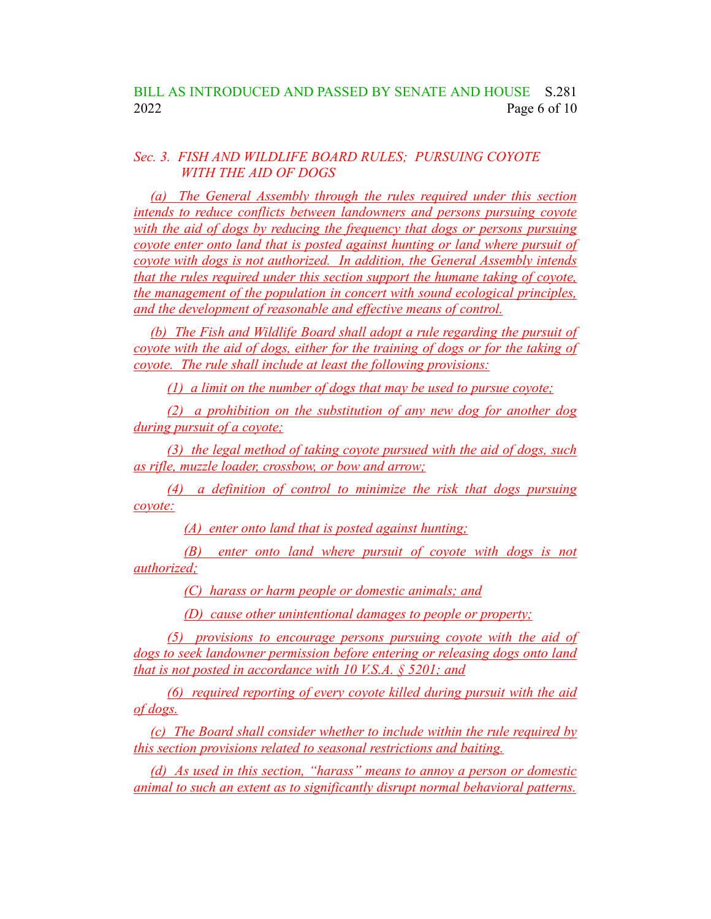### *Sec. 3. FISH AND WILDLIFE BOARD RULES; PURSUING COYOTE WITH THE AID OF DOGS*

*(a) The General Assembly through the rules required under this section intends to reduce conflicts between landowners and persons pursuing coyote with the aid of dogs by reducing the frequency that dogs or persons pursuing coyote enter onto land that is posted against hunting or land where pursuit of coyote with dogs is not authorized. In addition, the General Assembly intends that the rules required under this section support the humane taking of coyote, the management of the population in concert with sound ecological principles, and the development of reasonable and effective means of control.*

*(b) The Fish and Wildlife Board shall adopt a rule regarding the pursuit of coyote with the aid of dogs, either for the training of dogs or for the taking of coyote. The rule shall include at least the following provisions:*

*(1) a limit on the number of dogs that may be used to pursue coyote;*

*(2) a prohibition on the substitution of any new dog for another dog during pursuit of a coyote;*

*(3) the legal method of taking coyote pursued with the aid of dogs, such as rifle, muzzle loader, crossbow, or bow and arrow;*

*(4) a definition of control to minimize the risk that dogs pursuing coyote:*

*(A) enter onto land that is posted against hunting;*

*(B) enter onto land where pursuit of coyote with dogs is not authorized;*

*(C) harass or harm people or domestic animals; and*

*(D) cause other unintentional damages to people or property;*

*(5) provisions to encourage persons pursuing coyote with the aid of dogs to seek landowner permission before entering or releasing dogs onto land that is not posted in accordance with 10 V.S.A. § 5201; and*

*(6) required reporting of every coyote killed during pursuit with the aid of dogs.*

*(c) The Board shall consider whether to include within the rule required by this section provisions related to seasonal restrictions and baiting.*

*(d) As used in this section, "harass" means to annoy a person or domestic animal to such an extent as to significantly disrupt normal behavioral patterns.*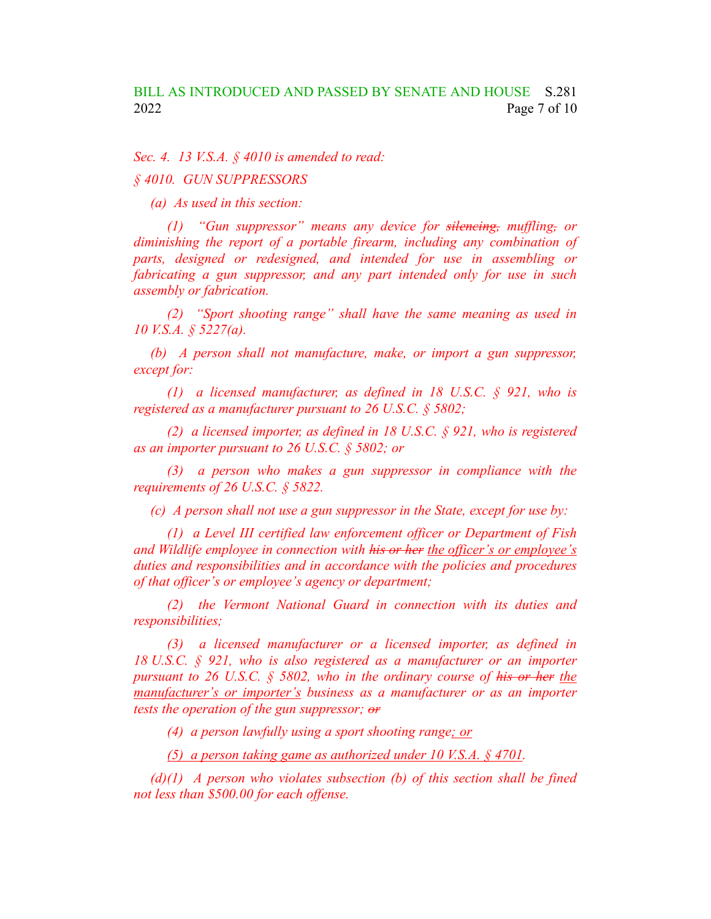*Sec. 4. 13 V.S.A. § 4010 is amended to read:*

*§ 4010. GUN SUPPRESSORS*

*(a) As used in this section:*

*(1) "Gun suppressor" means any device for silencing, muffling, or diminishing the report of a portable firearm, including any combination of parts, designed or redesigned, and intended for use in assembling or fabricating a gun suppressor, and any part intended only for use in such assembly or fabrication.*

*(2) "Sport shooting range" shall have the same meaning as used in 10 V.S.A. § 5227(a).*

*(b) A person shall not manufacture, make, or import a gun suppressor, except for:*

*(1) a licensed manufacturer, as defined in 18 U.S.C. § 921, who is registered as a manufacturer pursuant to 26 U.S.C. § 5802;*

*(2) a licensed importer, as defined in 18 U.S.C. § 921, who is registered as an importer pursuant to 26 U.S.C. § 5802; or*

*(3) a person who makes a gun suppressor in compliance with the requirements of 26 U.S.C. § 5822.*

*(c) A person shall not use a gun suppressor in the State, except for use by:*

*(1) a Level III certified law enforcement officer or Department of Fish and Wildlife employee in connection with his or her the officer's or employee's duties and responsibilities and in accordance with the policies and procedures of that officer's or employee's agency or department;*

*(2) the Vermont National Guard in connection with its duties and responsibilities;*

*(3) a licensed manufacturer or a licensed importer, as defined in 18 U.S.C. § 921, who is also registered as a manufacturer or an importer pursuant to 26 U.S.C. § 5802, who in the ordinary course of his or her the manufacturer's or importer's business as a manufacturer or as an importer tests the operation of the gun suppressor; or*

*(4) a person lawfully using a sport shooting range; or*

*(5) a person taking game as authorized under 10 V.S.A. § 4701.*

*(d)(1) A person who violates subsection (b) of this section shall be fined not less than \$500.00 for each offense.*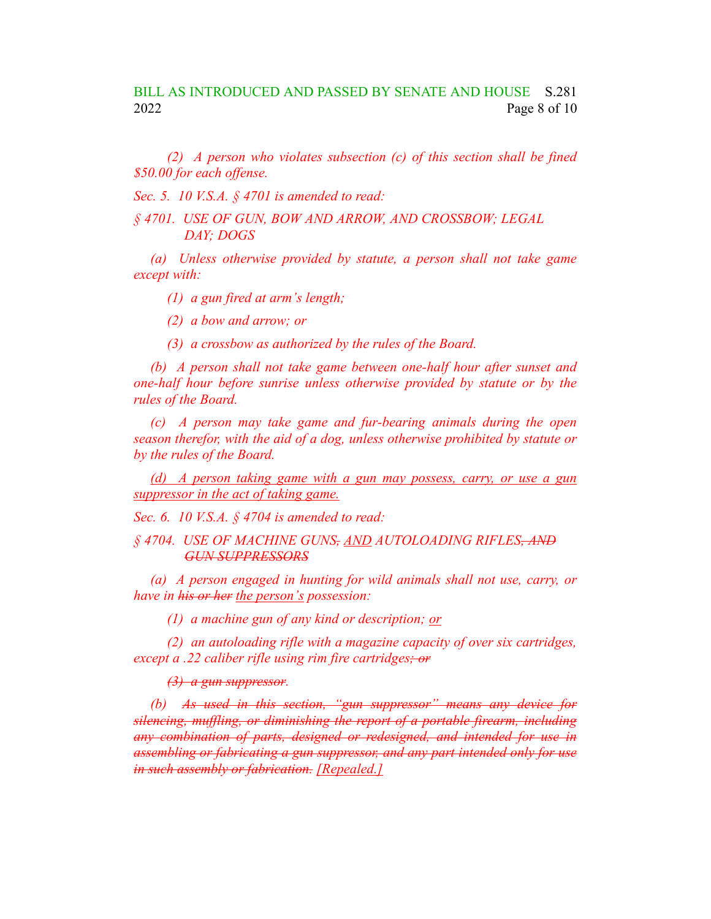*(2) A person who violates subsection (c) of this section shall be fined \$50.00 for each offense.*

*Sec. 5. 10 V.S.A. § 4701 is amended to read:*

*§ 4701. USE OF GUN, BOW AND ARROW, AND CROSSBOW; LEGAL DAY; DOGS*

*(a) Unless otherwise provided by statute, a person shall not take game except with:*

*(1) a gun fired at arm's length;*

*(2) a bow and arrow; or*

*(3) a crossbow as authorized by the rules of the Board.*

*(b) A person shall not take game between one-half hour after sunset and one-half hour before sunrise unless otherwise provided by statute or by the rules of the Board.*

*(c) A person may take game and fur-bearing animals during the open season therefor, with the aid of a dog, unless otherwise prohibited by statute or by the rules of the Board.*

*(d) A person taking game with a gun may possess, carry, or use a gun suppressor in the act of taking game.*

*Sec. 6. 10 V.S.A. § 4704 is amended to read:*

*§ 4704. USE OF MACHINE GUNS, AND AUTOLOADING RIFLES, AND GUN SUPPRESSORS*

*(a) A person engaged in hunting for wild animals shall not use, carry, or have in his or her the person's possession:*

*(1) a machine gun of any kind or description; or*

*(2) an autoloading rifle with a magazine capacity of over six cartridges, except a .22 caliber rifle using rim fire cartridges; or*

*(3) a gun suppressor.*

*(b) As used in this section, "gun suppressor" means any device for silencing, muffling, or diminishing the report of a portable firearm, including any combination of parts, designed or redesigned, and intended for use in assembling or fabricating a gun suppressor, and any part intended only for use in such assembly or fabrication. [Repealed.]*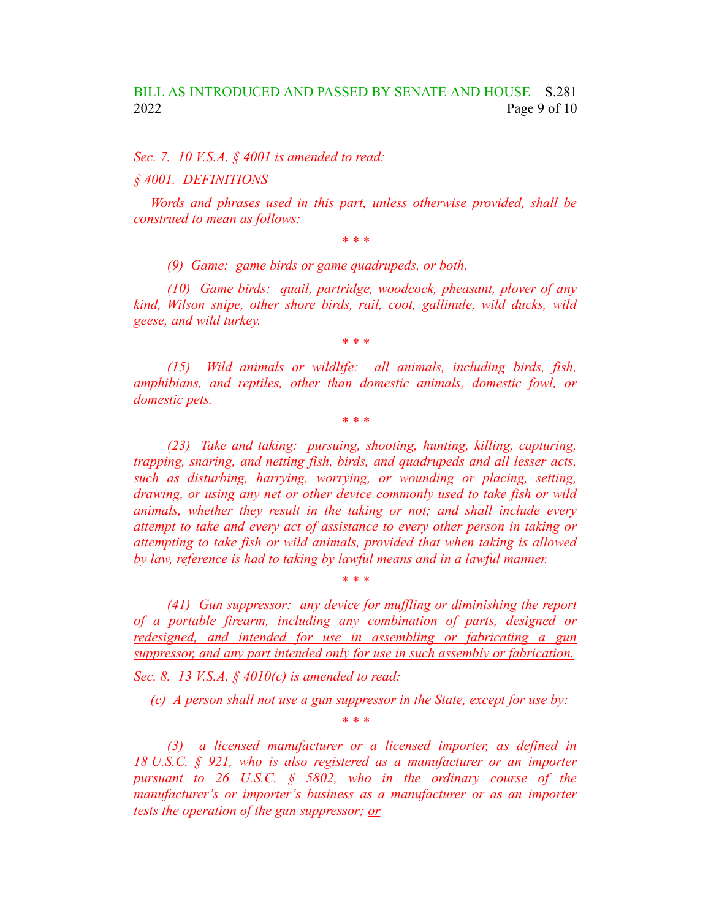*Sec. 7. 10 V.S.A. § 4001 is amended to read:*

*§ 4001. DEFINITIONS*

*Words and phrases used in this part, unless otherwise provided, shall be construed to mean as follows:*

*\* \* \**

*(9) Game: game birds or game quadrupeds, or both.*

*(10) Game birds: quail, partridge, woodcock, pheasant, plover of any kind, Wilson snipe, other shore birds, rail, coot, gallinule, wild ducks, wild geese, and wild turkey.*

*\* \* \**

*(15) Wild animals or wildlife: all animals, including birds, fish, amphibians, and reptiles, other than domestic animals, domestic fowl, or domestic pets.*

*\* \* \**

*(23) Take and taking: pursuing, shooting, hunting, killing, capturing, trapping, snaring, and netting fish, birds, and quadrupeds and all lesser acts, such as disturbing, harrying, worrying, or wounding or placing, setting, drawing, or using any net or other device commonly used to take fish or wild animals, whether they result in the taking or not; and shall include every attempt to take and every act of assistance to every other person in taking or attempting to take fish or wild animals, provided that when taking is allowed by law, reference is had to taking by lawful means and in a lawful manner.*

*(41) Gun suppressor: any device for muffling or diminishing the report of a portable firearm, including any combination of parts, designed or redesigned, and intended for use in assembling or fabricating a gun suppressor, and any part intended only for use in such assembly or fabrication. Sec. 8. 13 V.S.A. § 4010(c) is amended to read:*

*\* \* \**

*(c) A person shall not use a gun suppressor in the State, except for use by:*

*\* \* \**

*(3) a licensed manufacturer or a licensed importer, as defined in 18 U.S.C. § 921, who is also registered as a manufacturer or an importer pursuant to 26 U.S.C. § 5802, who in the ordinary course of the manufacturer's or importer's business as a manufacturer or as an importer tests the operation of the gun suppressor; or*